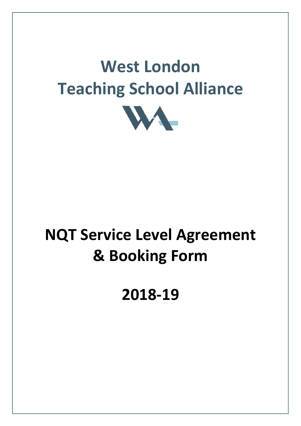# **West London Teaching School Alliance**



# **NQT Service Level Agreement & Booking Form**

**2018-19**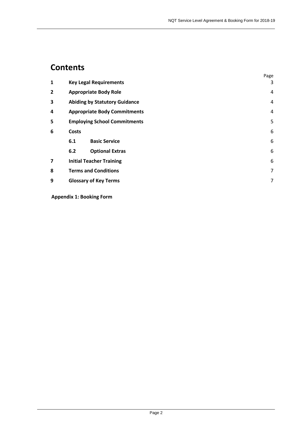## **Contents**

|   |                              |                                      | Page           |
|---|------------------------------|--------------------------------------|----------------|
| 1 |                              | <b>Key Legal Requirements</b>        | 3              |
| 2 |                              | <b>Appropriate Body Role</b>         | 4              |
| 3 |                              | <b>Abiding by Statutory Guidance</b> | 4              |
| 4 |                              | <b>Appropriate Body Commitments</b>  | 4              |
| 5 |                              | <b>Employing School Commitments</b>  | 5              |
| 6 | <b>Costs</b>                 |                                      | 6              |
|   | 6.1                          | <b>Basic Service</b>                 | 6              |
|   | 6.2                          | <b>Optional Extras</b>               | 6              |
| 7 |                              | <b>Initial Teacher Training</b>      | 6              |
| 8 | <b>Terms and Conditions</b>  |                                      |                |
| 9 | <b>Glossary of Key Terms</b> |                                      | $\overline{7}$ |

**Appendix 1: Booking Form**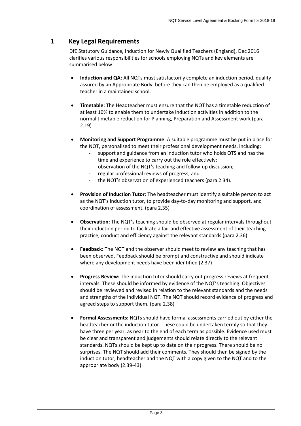## <span id="page-2-0"></span>**1 Key Legal Requirements**

DfE Statutory Guidance**,** Induction for Newly Qualified Teachers (England), Dec 2016 clarifies various responsibilities for schools employing NQTs and key elements are summarised below:

- **Induction and QA:** All NQTs must satisfactorily complete an induction period, quality assured by an Appropriate Body, before they can then be employed as a qualified teacher in a maintained school.
- **Timetable:** The Headteacher must ensure that the NQT has a timetable reduction of at least 10% to enable them to undertake induction activities in addition to the normal timetable reduction for Planning, Preparation and Assessment work (para 2.19)
- **Monitoring and Support Programme**: A suitable programme must be put in place for the NQT, personalised to meet their professional development needs, including:
	- support and guidance from an induction tutor who holds QTS and has the time and experience to carry out the role effectively;
	- observation of the NQT's teaching and follow-up discussion;
	- regular professional reviews of progress; and
	- the NQT's observation of experienced teachers (para 2.34).
- **Provision of Induction Tutor**: The headteacher must identify a suitable person to act as the NQT's induction tutor, to provide day-to-day monitoring and support, and coordination of assessment. (para 2.35)
- **Observation:** The NQT's teaching should be observed at regular intervals throughout their induction period to facilitate a fair and effective assessment of their teaching practice, conduct and efficiency against the relevant standards (para 2.36)
- **Feedback:** The NQT and the observer should meet to review any teaching that has been observed. Feedback should be prompt and constructive and should indicate where any development needs have been identified (2.37)
- **Progress Review:** The induction tutor should carry out progress reviews at frequent intervals. These should be informed by evidence of the NQT's teaching. Objectives should be reviewed and revised in relation to the relevant standards and the needs and strengths of the individual NQT. The NQT should record evidence of progress and agreed steps to support them. (para 2.38)
- **Formal Assessments:** NQTs should have formal assessments carried out by either the headteacher or the induction tutor. These could be undertaken termly so that they have three per year, as near to the end of each term as possible. Evidence used must be clear and transparent and judgements should relate directly to the relevant standards. NQTs should be kept up to date on their progress. There should be no surprises. The NQT should add their comments. They should then be signed by the induction tutor, headteacher and the NQT with a copy given to the NQT and to the appropriate body (2.39-43)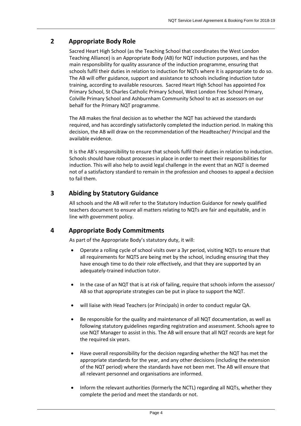## <span id="page-3-0"></span>**2 Appropriate Body Role**

Sacred Heart High School (as the Teaching School that coordinates the West London Teaching Alliance) is an Appropriate Body (AB) for NQT induction purposes, and has the main responsibility for quality assurance of the induction programme, ensuring that schools fulfil their duties in relation to induction for NQTs where it is appropriate to do so. The AB will offer guidance, support and assistance to schools including induction tutor training, according to available resources. Sacred Heart High School has appointed Fox Primary School, St Charles Catholic Primary School, West London Free School Primary, Colville Primary School and Ashburnham Community School to act as assessors on our behalf for the Primary NQT programme.

The AB makes the final decision as to whether the NQT has achieved the standards required, and has accordingly satisfactorily completed the induction period. In making this decision, the AB will draw on the recommendation of the Headteacher/ Principal and the available evidence.

It is the AB's responsibility to ensure that schools fulfil their duties in relation to induction. Schools should have robust processes in place in order to meet their responsibilities for induction. This will also help to avoid legal challenge in the event that an NQT is deemed not of a satisfactory standard to remain in the profession and chooses to appeal a decision to fail them.

## <span id="page-3-1"></span>**3 Abiding by Statutory Guidance**

All schools and the AB will refer to the Statutory Induction Guidance for newly qualified teachers document to ensure all matters relating to NQTs are fair and equitable, and in line with government policy.

## <span id="page-3-2"></span>**4 Appropriate Body Commitments**

As part of the Appropriate Body's statutory duty, it will:

- Operate a rolling cycle of school visits over a 3yr period, visiting NQTs to ensure that all requirements for NQTS are being met by the school, including ensuring that they have enough time to do their role effectively, and that they are supported by an adequately-trained induction tutor.
- In the case of an NQT that is at risk of failing, require that schools inform the assessor/ AB so that appropriate strategies can be put in place to support the NQT.
- will liaise with Head Teachers (or Principals) in order to conduct regular QA.
- Be responsible for the quality and maintenance of all NQT documentation, as well as following statutory guidelines regarding registration and assessment. Schools agree to use NQT Manager to assist in this. The AB will ensure that all NQT records are kept for the required six years.
- Have overall responsibility for the decision regarding whether the NQT has met the appropriate standards for the year, and any other decisions (including the extension of the NQT period) where the standards have not been met. The AB will ensure that all relevant personnel and organisations are informed.
- Inform the relevant authorities (formerly the NCTL) regarding all NQTs, whether they complete the period and meet the standards or not.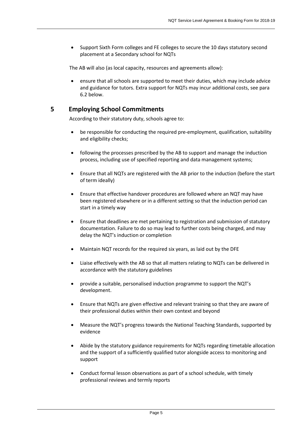Support Sixth Form colleges and FE colleges to secure the 10 days statutory second placement at a Secondary school for NQTs

The AB will also (as local capacity, resources and agreements allow):

 ensure that all schools are supported to meet their duties, which may include advice and guidance for tutors. Extra support for NQTs may incur additional costs, see para 6.2 below.

#### <span id="page-4-0"></span>**5 Employing School Commitments**

According to their statutory duty, schools agree to:

- be responsible for conducting the required pre-employment, qualification, suitability and eligibility checks;
- following the processes prescribed by the AB to support and manage the induction process, including use of specified reporting and data management systems;
- Ensure that all NQTs are registered with the AB prior to the induction (before the start of term ideally)
- Ensure that effective handover procedures are followed where an NQT may have been registered elsewhere or in a different setting so that the induction period can start in a timely way
- Ensure that deadlines are met pertaining to registration and submission of statutory documentation. Failure to do so may lead to further costs being charged, and may delay the NQT's induction or completion
- Maintain NQT records for the required six years, as laid out by the DFE
- Liaise effectively with the AB so that all matters relating to NQTs can be delivered in accordance with the statutory guidelines
- provide a suitable, personalised induction programme to support the NQT's development.
- Ensure that NQTs are given effective and relevant training so that they are aware of their professional duties within their own context and beyond
- Measure the NQT's progress towards the National Teaching Standards, supported by evidence
- Abide by the statutory guidance requirements for NQTs regarding timetable allocation and the support of a sufficiently qualified tutor alongside access to monitoring and support
- Conduct formal lesson observations as part of a school schedule, with timely professional reviews and termly reports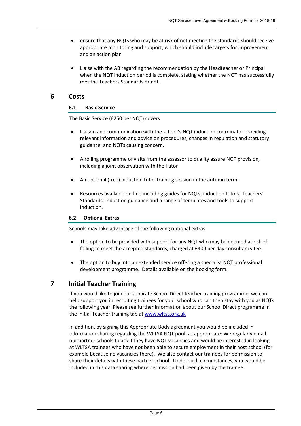- ensure that any NQTs who may be at risk of not meeting the standards should receive appropriate monitoring and support, which should include targets for improvement and an action plan
- Liaise with the AB regarding the recommendation by the Headteacher or Principal when the NQT induction period is complete, stating whether the NQT has successfully met the Teachers Standards or not.

### <span id="page-5-0"></span>**6 Costs**

#### <span id="page-5-1"></span>**6.1 Basic Service**

The Basic Service (£250 per NQT) covers

- Liaison and communication with the school's NQT induction coordinator providing relevant information and advice on procedures, changes in regulation and statutory guidance, and NQTs causing concern.
- A rolling programme of visits from the assessor to quality assure NQT provision, including a joint observation with the Tutor
- An optional (free) induction tutor training session in the autumn term.
- Resources available on-line including guides for NQTs, induction tutors, Teachers' Standards, induction guidance and a range of templates and tools to support induction.

#### <span id="page-5-2"></span>**6.2 Optional Extras**

Schools may take advantage of the following optional extras:

- The option to be provided with support for any NQT who may be deemed at risk of failing to meet the accepted standards, charged at £400 per day consultancy fee.
- The option to buy into an extended service offering a specialist NQT professional development programme. Details available on the booking form.

### <span id="page-5-3"></span>**7 Initial Teacher Training**

If you would like to join our separate School Direct teacher training programme, we can help support you in recruiting trainees for your school who can then stay with you as NQTs the following year. Please see further information about our School Direct programme in the Initial Teacher training tab at [www.wltsa.org.uk](http://www.wltsa.org.uk/)

In addition, by signing this Appropriate Body agreement you would be included in information sharing regarding the WLTSA NQT pool, as appropriate: We regularly email our partner schools to ask if they have NQT vacancies and would be interested in looking at WLTSA trainees who have not been able to secure employment in their host school (for example because no vacancies there). We also contact our trainees for permission to share their details with these partner school. Under such circumstances, you would be included in this data sharing where permission had been given by the trainee.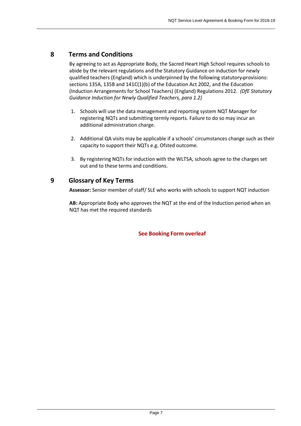## <span id="page-6-0"></span>**8 Terms and Conditions**

By agreeing to act as Appropriate Body, the Sacred Heart High School requires schools to abide by the relevant regulations and the Statutory Guidance on induction for newly qualified teachers (England) which is underpinned by the following statutory provisions: sections 135A, 135B and 141C(1)(b) of the Education Act 2002, and the Education (Induction Arrangements for School Teachers) (England) Regulations 2012. *(DfE Statutory Guidance Induction for Newly Qualified Teachers, para 1.2)*

- 1. Schools will use the data management and reporting system NQT Manager for registering NQTs and submitting termly reports. Failure to do so may incur an additional administration charge.
- 2. Additional QA visits may be applicable if a schools' circumstances change such as their capacity to support their NQTs e.g. Ofsted outcome.
- 3. By registering NQTs for induction with the WLTSA, schools agree to the charges set out and to these terms and conditions.

## <span id="page-6-1"></span>**9 Glossary of Key Terms**

**Assessor:** Senior member of staff/ SLE who works with schools to support NQT induction

**AB:** Appropriate Body who approves the NQT at the end of the Induction period when an NQT has met the required standards

**See Booking Form overleaf**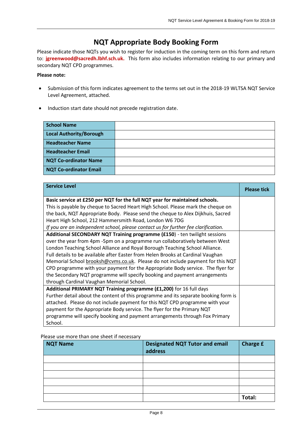## **NQT Appropriate Body Booking Form**

Please indicate those NQTs you wish to register for induction in the coming term on this form and return to: **[jgreenwood@sacredh.lbhf.sch.uk.](mailto:jgreenwood@sacredh.lbhf.sch.uk)** This form also includes information relating to our primary and secondary NQT CPD programmes.

#### **Please note:**

- Submission of this form indicates agreement to the terms set out in the 2018-19 WLTSA NQT Service Level Agreement, attached.
- Induction start date should not precede registration date.

| <b>School Name</b>             |  |
|--------------------------------|--|
| <b>Local Authority/Borough</b> |  |
| <b>Headteacher Name</b>        |  |
| <b>Headteacher Email</b>       |  |
| <b>NQT Co-ordinator Name</b>   |  |
| <b>NQT Co-ordinator Email</b>  |  |

| <b>Service Level</b>                                                                | <b>Please tick</b> |
|-------------------------------------------------------------------------------------|--------------------|
| Basic service at £250 per NQT for the full NQT year for maintained schools.         |                    |
| This is payable by cheque to Sacred Heart High School. Please mark the cheque on    |                    |
| the back, NQT Appropriate Body. Please send the cheque to Alex Dijkhuis, Sacred     |                    |
| Heart High School, 212 Hammersmith Road, London W6 7DG                              |                    |
| If you are an independent school, please contact us for further fee clarification.  |                    |
| Additional SECONDARY NQT Training programme (£150) - ten twilight sessions          |                    |
| over the year from 4pm -5pm on a programme run collaboratively between West         |                    |
| London Teaching School Alliance and Royal Borough Teaching School Alliance.         |                    |
| Full details to be available after Easter from Helen Brooks at Cardinal Vaughan     |                    |
| Memorial School brooksh@cvms.co.uk. Please do not include payment for this NQT      |                    |
| CPD programme with your payment for the Appropriate Body service. The flyer for     |                    |
| the Secondary NQT programme will specify booking and payment arrangements           |                    |
| through Cardinal Vaughan Memorial School.                                           |                    |
| Additional PRIMARY NQT Training programme (£1,200) for 16 full days                 |                    |
| Further detail about the content of this programme and its separate booking form is |                    |
| attached. Please do not include payment for this NQT CPD programme with your        |                    |
| payment for the Appropriate Body service. The flyer for the Primary NQT             |                    |
| programme will specify booking and payment arrangements through Fox Primary         |                    |
| School.                                                                             |                    |

#### Please use more than one sheet if necessary

| <b>NQT Name</b> | <b>Designated NQT Tutor and email</b><br>address | <b>Charge £</b> |
|-----------------|--------------------------------------------------|-----------------|
|                 |                                                  |                 |
|                 |                                                  |                 |
|                 |                                                  |                 |
|                 |                                                  |                 |
|                 |                                                  |                 |
|                 |                                                  | Total:          |